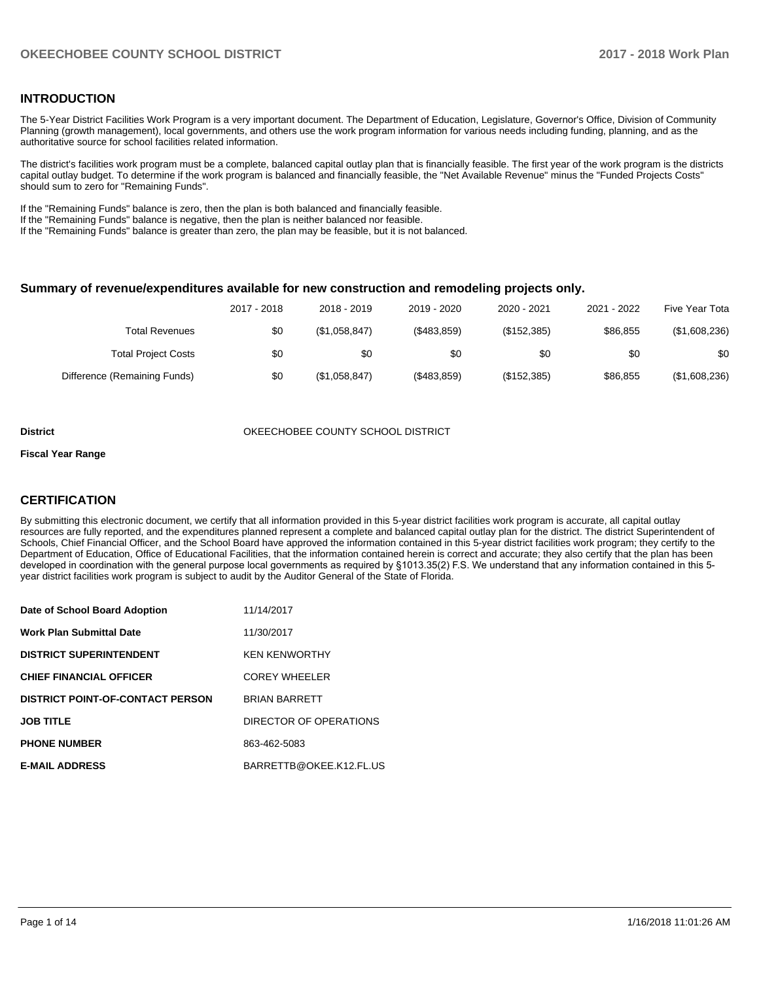#### **INTRODUCTION**

The 5-Year District Facilities Work Program is a very important document. The Department of Education, Legislature, Governor's Office, Division of Community Planning (growth management), local governments, and others use the work program information for various needs including funding, planning, and as the authoritative source for school facilities related information.

The district's facilities work program must be a complete, balanced capital outlay plan that is financially feasible. The first year of the work program is the districts capital outlay budget. To determine if the work program is balanced and financially feasible, the "Net Available Revenue" minus the "Funded Projects Costs" should sum to zero for "Remaining Funds".

If the "Remaining Funds" balance is zero, then the plan is both balanced and financially feasible.

If the "Remaining Funds" balance is negative, then the plan is neither balanced nor feasible.

If the "Remaining Funds" balance is greater than zero, the plan may be feasible, but it is not balanced.

#### **Summary of revenue/expenditures available for new construction and remodeling projects only.**

| Five Year Tota | 2021 - 2022 | 2020 - 2021 | 2019 - 2020 | 2018 - 2019   | 2017 - 2018 |                              |
|----------------|-------------|-------------|-------------|---------------|-------------|------------------------------|
| (\$1,608,236)  | \$86,855    | (\$152,385) | (\$483,859) | (\$1,058,847) | \$0         | Total Revenues               |
| \$0            | \$0         | \$0         | \$0         | \$0           | \$0         | <b>Total Project Costs</b>   |
| (\$1,608,236)  | \$86.855    | (\$152,385) | (\$483,859) | (\$1,058,847) | \$0         | Difference (Remaining Funds) |

#### **District COUNTY SCHOOL DISTRICT** OKEECHOBEE COUNTY SCHOOL DISTRICT

#### **Fiscal Year Range**

### **CERTIFICATION**

By submitting this electronic document, we certify that all information provided in this 5-year district facilities work program is accurate, all capital outlay resources are fully reported, and the expenditures planned represent a complete and balanced capital outlay plan for the district. The district Superintendent of Schools, Chief Financial Officer, and the School Board have approved the information contained in this 5-year district facilities work program; they certify to the Department of Education, Office of Educational Facilities, that the information contained herein is correct and accurate; they also certify that the plan has been developed in coordination with the general purpose local governments as required by §1013.35(2) F.S. We understand that any information contained in this 5year district facilities work program is subject to audit by the Auditor General of the State of Florida.

| Date of School Board Adoption           | 11/14/2017              |
|-----------------------------------------|-------------------------|
| <b>Work Plan Submittal Date</b>         | 11/30/2017              |
| <b>DISTRICT SUPERINTENDENT</b>          | <b>KEN KENWORTHY</b>    |
| <b>CHIEF FINANCIAL OFFICER</b>          | <b>COREY WHEELER</b>    |
| <b>DISTRICT POINT-OF-CONTACT PERSON</b> | <b>BRIAN BARRETT</b>    |
| <b>JOB TITLE</b>                        | DIRECTOR OF OPERATIONS  |
| <b>PHONE NUMBER</b>                     | 863-462-5083            |
| <b>E-MAIL ADDRESS</b>                   | BARRETTB@OKEE.K12.FL.US |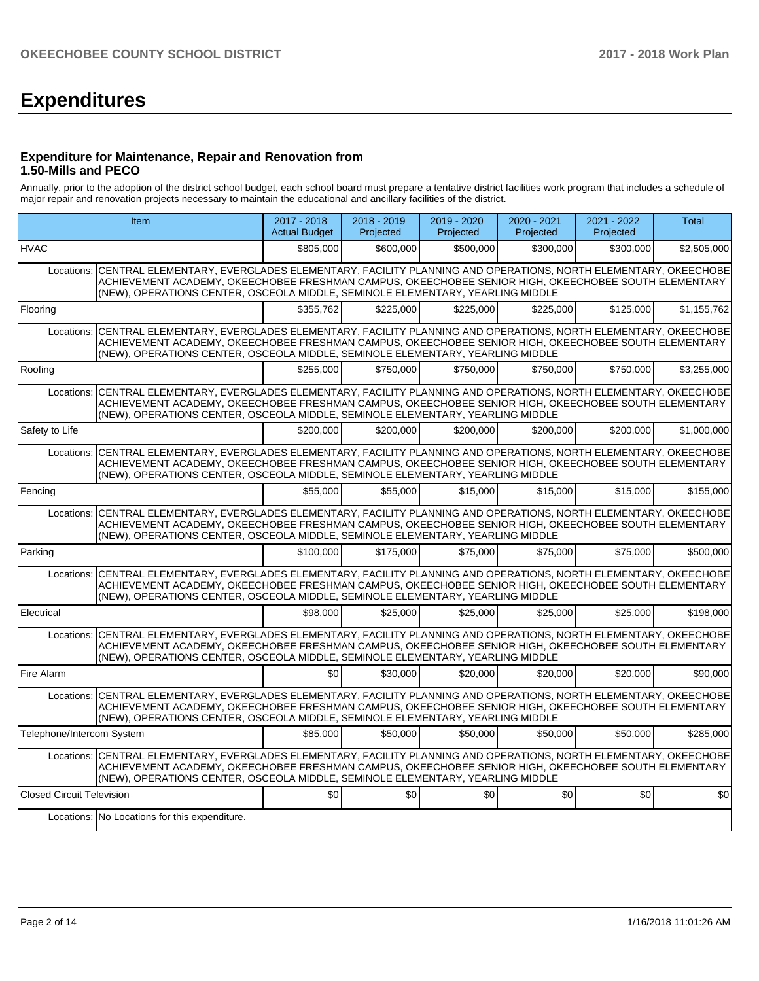# **Expenditures**

#### **Expenditure for Maintenance, Repair and Renovation from 1.50-Mills and PECO**

Annually, prior to the adoption of the district school budget, each school board must prepare a tentative district facilities work program that includes a schedule of major repair and renovation projects necessary to maintain the educational and ancillary facilities of the district.

| Item                             |                                                                                                                                                                                                                                                                                                               | $2017 - 2018$<br><b>Actual Budget</b> | $2018 - 2019$<br>Projected | 2019 - 2020<br>Projected | $2020 - 2021$<br>Projected | 2021 - 2022<br>Projected | <b>Total</b> |
|----------------------------------|---------------------------------------------------------------------------------------------------------------------------------------------------------------------------------------------------------------------------------------------------------------------------------------------------------------|---------------------------------------|----------------------------|--------------------------|----------------------------|--------------------------|--------------|
| <b>HVAC</b>                      |                                                                                                                                                                                                                                                                                                               | \$805,000                             | \$600,000                  | \$500,000                | \$300,000                  | \$300,000                | \$2,505,000  |
|                                  | Locations: CENTRAL ELEMENTARY, EVERGLADES ELEMENTARY, FACILITY PLANNING AND OPERATIONS, NORTH ELEMENTARY, OKEECHOBE<br>ACHIEVEMENT ACADEMY, OKEECHOBEE FRESHMAN CAMPUS, OKEECHOBEE SENIOR HIGH, OKEECHOBEE SOUTH ELEMENTARY<br>(NEW), OPERATIONS CENTER, OSCEOLA MIDDLE, SEMINOLE ELEMENTARY, YEARLING MIDDLE |                                       |                            |                          |                            |                          |              |
| Flooring                         |                                                                                                                                                                                                                                                                                                               | \$355.762                             | \$225,000                  | \$225.000                | \$225.000                  | \$125,000                | \$1,155,762  |
| Locations:                       | CENTRAL ELEMENTARY, EVERGLADES ELEMENTARY, FACILITY PLANNING AND OPERATIONS, NORTH ELEMENTARY, OKEECHOBE<br>ACHIEVEMENT ACADEMY, OKEECHOBEE FRESHMAN CAMPUS, OKEECHOBEE SENIOR HIGH, OKEECHOBEE SOUTH ELEMENTARY<br>(NEW), OPERATIONS CENTER, OSCEOLA MIDDLE, SEMINOLE ELEMENTARY, YEARLING MIDDLE            |                                       |                            |                          |                            |                          |              |
| Roofing                          |                                                                                                                                                                                                                                                                                                               | \$255.000                             | \$750.000                  | \$750.000                | \$750,000                  | \$750,000                | \$3,255,000  |
| Locations:                       | CENTRAL ELEMENTARY, EVERGLADES ELEMENTARY, FACILITY PLANNING AND OPERATIONS, NORTH ELEMENTARY, OKEECHOBE<br>ACHIEVEMENT ACADEMY, OKEECHOBEE FRESHMAN CAMPUS, OKEECHOBEE SENIOR HIGH, OKEECHOBEE SOUTH ELEMENTARY<br>(NEW), OPERATIONS CENTER, OSCEOLA MIDDLE, SEMINOLE ELEMENTARY, YEARLING MIDDLE            |                                       |                            |                          |                            |                          |              |
| Safety to Life                   |                                                                                                                                                                                                                                                                                                               | \$200.000                             | \$200.000                  | \$200.000                | \$200.000                  | \$200,000                | \$1.000.000  |
| Locations:                       | CENTRAL ELEMENTARY, EVERGLADES ELEMENTARY, FACILITY PLANNING AND OPERATIONS, NORTH ELEMENTARY, OKEECHOBE<br>ACHIEVEMENT ACADEMY, OKEECHOBEE FRESHMAN CAMPUS, OKEECHOBEE SENIOR HIGH, OKEECHOBEE SOUTH ELEMENTARY<br>(NEW), OPERATIONS CENTER, OSCEOLA MIDDLE, SEMINOLE ELEMENTARY, YEARLING MIDDLE            |                                       |                            |                          |                            |                          |              |
| Fencing                          |                                                                                                                                                                                                                                                                                                               | \$55,000                              | \$55,000                   | \$15,000                 | \$15,000                   | \$15,000                 | \$155,000    |
|                                  | Locations: CENTRAL ELEMENTARY, EVERGLADES ELEMENTARY, FACILITY PLANNING AND OPERATIONS, NORTH ELEMENTARY, OKEECHOBE<br>ACHIEVEMENT ACADEMY, OKEECHOBEE FRESHMAN CAMPUS, OKEECHOBEE SENIOR HIGH, OKEECHOBEE SOUTH ELEMENTARY<br>(NEW), OPERATIONS CENTER, OSCEOLA MIDDLE, SEMINOLE ELEMENTARY, YEARLING MIDDLE |                                       |                            |                          |                            |                          |              |
| Parking                          |                                                                                                                                                                                                                                                                                                               | \$100.000                             | \$175,000                  | \$75,000                 | \$75,000                   | \$75,000                 | \$500.000    |
| Locations:                       | CENTRAL ELEMENTARY, EVERGLADES ELEMENTARY, FACILITY PLANNING AND OPERATIONS, NORTH ELEMENTARY, OKEECHOBE<br>ACHIEVEMENT ACADEMY, OKEECHOBEE FRESHMAN CAMPUS, OKEECHOBEE SENIOR HIGH, OKEECHOBEE SOUTH ELEMENTARY<br>(NEW), OPERATIONS CENTER, OSCEOLA MIDDLE, SEMINOLE ELEMENTARY, YEARLING MIDDLE            |                                       |                            |                          |                            |                          |              |
| Electrical                       |                                                                                                                                                                                                                                                                                                               | \$98,000                              | \$25,000                   | \$25,000                 | \$25,000                   | \$25,000                 | \$198,000    |
|                                  | Locations: CENTRAL ELEMENTARY, EVERGLADES ELEMENTARY, FACILITY PLANNING AND OPERATIONS, NORTH ELEMENTARY, OKEECHOBE<br>ACHIEVEMENT ACADEMY, OKEECHOBEE FRESHMAN CAMPUS, OKEECHOBEE SENIOR HIGH, OKEECHOBEE SOUTH ELEMENTARY<br>(NEW), OPERATIONS CENTER, OSCEOLA MIDDLE, SEMINOLE ELEMENTARY, YEARLING MIDDLE |                                       |                            |                          |                            |                          |              |
| Fire Alarm                       |                                                                                                                                                                                                                                                                                                               | \$0                                   | \$30,000                   | \$20,000                 | \$20,000                   | \$20,000                 | \$90,000     |
|                                  | Locations: CENTRAL ELEMENTARY, EVERGLADES ELEMENTARY, FACILITY PLANNING AND OPERATIONS, NORTH ELEMENTARY, OKEECHOBE<br>ACHIEVEMENT ACADEMY. OKEECHOBEE FRESHMAN CAMPUS. OKEECHOBEE SENIOR HIGH. OKEECHOBEE SOUTH ELEMENTARY<br>(NEW), OPERATIONS CENTER, OSCEOLA MIDDLE, SEMINOLE ELEMENTARY, YEARLING MIDDLE |                                       |                            |                          |                            |                          |              |
| Telephone/Intercom System        |                                                                                                                                                                                                                                                                                                               | \$85,000                              | \$50,000                   | \$50,000                 | \$50,000                   | \$50,000                 | \$285,000    |
|                                  | Locations: CENTRAL ELEMENTARY, EVERGLADES ELEMENTARY, FACILITY PLANNING AND OPERATIONS, NORTH ELEMENTARY, OKEECHOBE<br>ACHIEVEMENT ACADEMY, OKEECHOBEE FRESHMAN CAMPUS, OKEECHOBEE SENIOR HIGH, OKEECHOBEE SOUTH ELEMENTARY<br>(NEW), OPERATIONS CENTER, OSCEOLA MIDDLE, SEMINOLE ELEMENTARY, YEARLING MIDDLE |                                       |                            |                          |                            |                          |              |
| <b>Closed Circuit Television</b> |                                                                                                                                                                                                                                                                                                               | \$0                                   | \$0                        | \$0                      | \$0                        | \$0                      | \$0          |
|                                  | Locations: No Locations for this expenditure.                                                                                                                                                                                                                                                                 |                                       |                            |                          |                            |                          |              |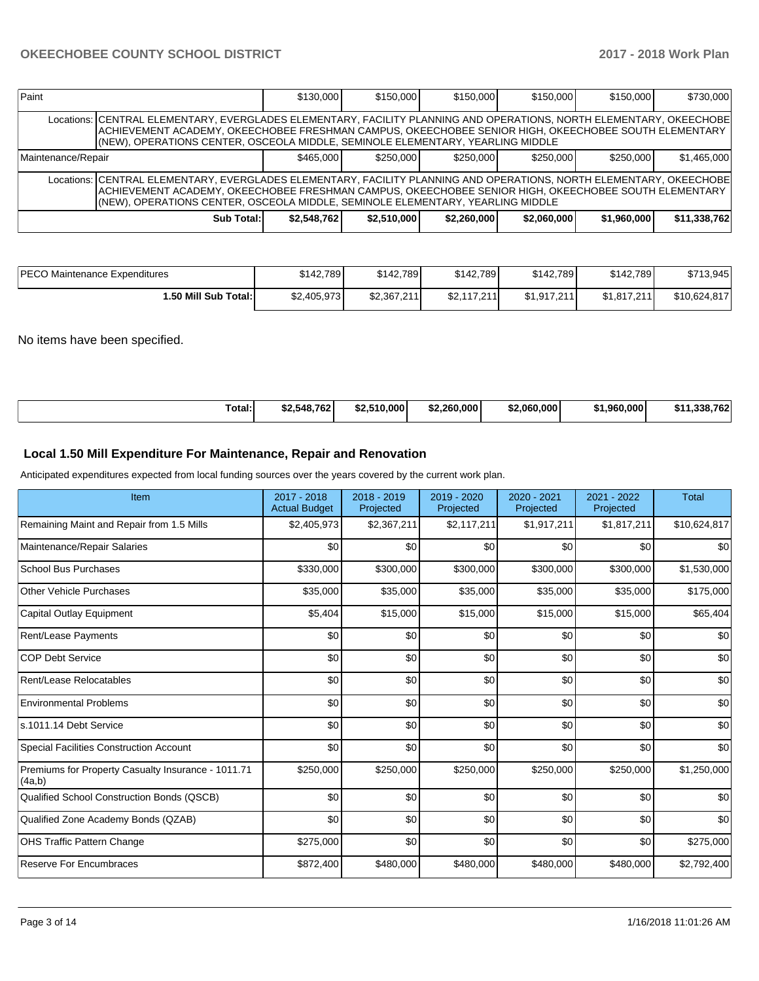| Paint                                                                                                                                                                                                                                                                                                          |                                                                                                                                                                                                                                                                                                                 | \$130,000   | \$150,000   | \$150,000   | \$150,000   | \$150,000   | \$730,000    |  |  |  |
|----------------------------------------------------------------------------------------------------------------------------------------------------------------------------------------------------------------------------------------------------------------------------------------------------------------|-----------------------------------------------------------------------------------------------------------------------------------------------------------------------------------------------------------------------------------------------------------------------------------------------------------------|-------------|-------------|-------------|-------------|-------------|--------------|--|--|--|
|                                                                                                                                                                                                                                                                                                                | Locations:   CENTRAL ELEMENTARY, EVERGLADES ELEMENTARY, FACILITY PLANNING AND OPERATIONS, NORTH ELEMENTARY, OKEECHOBE<br>ACHIEVEMENT ACADEMY, OKEECHOBEE FRESHMAN CAMPUS, OKEECHOBEE SENIOR HIGH, OKEECHOBEE SOUTH ELEMENTARY<br>(NEW), OPERATIONS CENTER, OSCEOLA MIDDLE, SEMINOLE ELEMENTARY, YEARLING MIDDLE |             |             |             |             |             |              |  |  |  |
| \$250,000<br>\$465,000<br>Maintenance/Repair<br>\$250,000<br>\$250,000<br>\$250,000                                                                                                                                                                                                                            |                                                                                                                                                                                                                                                                                                                 |             |             |             |             | \$1.465.000 |              |  |  |  |
| Locations: ICENTRAL ELEMENTARY, EVERGLADES ELEMENTARY, FACILITY PLANNING AND OPERATIONS, NORTH ELEMENTARY, OKEECHOBE<br>ACHIEVEMENT ACADEMY, OKEECHOBEE FRESHMAN CAMPUS, OKEECHOBEE SENIOR HIGH, OKEECHOBEE SOUTH ELEMENTARY<br>(NEW), OPERATIONS CENTER, OSCEOLA MIDDLE, SEMINOLE ELEMENTARY, YEARLING MIDDLE |                                                                                                                                                                                                                                                                                                                 |             |             |             |             |             |              |  |  |  |
|                                                                                                                                                                                                                                                                                                                | Sub Total:                                                                                                                                                                                                                                                                                                      | \$2,548,762 | \$2.510,000 | \$2.260,000 | \$2.060.000 | \$1,960,000 | \$11,338,762 |  |  |  |

| <b>IPECO</b><br>) Maintenance Expenditures | \$142.789   | \$142.789   | \$142,789   | \$142.789   | \$142,789   | \$713,945    |
|--------------------------------------------|-------------|-------------|-------------|-------------|-------------|--------------|
| 1.50 Mill Sub Total:                       | \$2,405,973 | \$2,367,211 | \$2.117.211 | \$1.917.211 | \$1.817.211 | \$10,624,817 |

No items have been specified.

| Total: | \$2,548,762 | \$2.510,000 | \$2.260.000 | .060.000<br>-11 - | ا 960.000. ،<br>ו ה- | $220.762$<br>\$1'<br>.ააი. / ხ∠ |
|--------|-------------|-------------|-------------|-------------------|----------------------|---------------------------------|
|--------|-------------|-------------|-------------|-------------------|----------------------|---------------------------------|

### **Local 1.50 Mill Expenditure For Maintenance, Repair and Renovation**

Anticipated expenditures expected from local funding sources over the years covered by the current work plan.

| Item                                                         | 2017 - 2018<br><b>Actual Budget</b> | 2018 - 2019<br>Projected | 2019 - 2020<br>Projected | 2020 - 2021<br>Projected | 2021 - 2022<br>Projected | <b>Total</b> |
|--------------------------------------------------------------|-------------------------------------|--------------------------|--------------------------|--------------------------|--------------------------|--------------|
| Remaining Maint and Repair from 1.5 Mills                    | \$2,405,973                         | \$2,367,211              | \$2,117,211              | \$1,917,211              | \$1,817,211              | \$10,624,817 |
| Maintenance/Repair Salaries                                  | \$0                                 | \$0                      | \$0                      | \$0                      | \$0                      | \$0          |
| <b>School Bus Purchases</b>                                  | \$330,000                           | \$300,000                | \$300,000                | \$300,000                | \$300,000                | \$1,530,000  |
| <b>Other Vehicle Purchases</b>                               | \$35,000                            | \$35,000                 | \$35,000                 | \$35,000                 | \$35,000                 | \$175,000    |
| <b>Capital Outlay Equipment</b>                              | \$5,404                             | \$15,000                 | \$15,000                 | \$15,000                 | \$15,000                 | \$65,404     |
| Rent/Lease Payments                                          | \$0                                 | \$0                      | \$0                      | \$0                      | \$0                      | \$0          |
| <b>COP Debt Service</b>                                      | \$0                                 | \$0                      | \$0                      | \$0                      | \$0                      | \$0          |
| Rent/Lease Relocatables                                      | \$0                                 | \$0                      | \$0                      | \$0                      | \$0                      | \$0          |
| <b>Environmental Problems</b>                                | \$0                                 | \$0                      | \$0                      | \$0                      | \$0                      | \$0          |
| s.1011.14 Debt Service                                       | \$0                                 | \$0                      | \$0                      | \$0                      | \$0                      | \$0          |
| <b>Special Facilities Construction Account</b>               | \$0                                 | \$0                      | \$0                      | \$0                      | \$0                      | \$0          |
| Premiums for Property Casualty Insurance - 1011.71<br>(4a,b) | \$250,000                           | \$250,000                | \$250,000                | \$250,000                | \$250,000                | \$1,250,000  |
| Qualified School Construction Bonds (QSCB)                   | \$0                                 | \$0                      | \$0                      | \$0                      | \$0                      | \$0          |
| Qualified Zone Academy Bonds (QZAB)                          | \$0                                 | \$0                      | \$0                      | \$0                      | \$0                      | \$0          |
| <b>OHS Traffic Pattern Change</b>                            | \$275,000                           | \$0                      | \$0                      | \$0                      | \$0                      | \$275,000    |
| <b>Reserve For Encumbraces</b>                               | \$872,400                           | \$480,000                | \$480,000                | \$480,000                | \$480,000                | \$2,792,400  |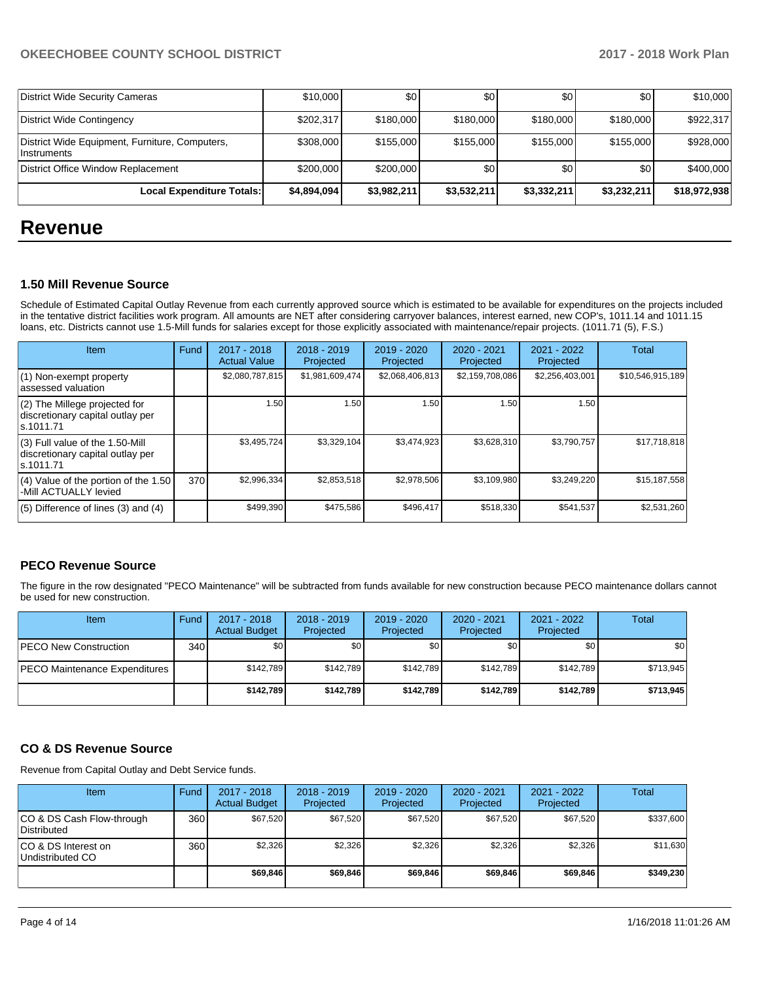## **OKEECHOBEE COUNTY SCHOOL DISTRICT 2017 - 2018 Work Plan**

| District Wide Security Cameras                                | \$10,000    | \$0         | \$0         | \$0         | \$0         | \$10,000     |
|---------------------------------------------------------------|-------------|-------------|-------------|-------------|-------------|--------------|
| District Wide Contingency                                     | \$202,317   | \$180,000   | \$180,000   | \$180,000   | \$180,000   | \$922,317    |
| District Wide Equipment, Furniture, Computers,<br>Instruments | \$308,000   | \$155,000   | \$155,000   | \$155,000   | \$155,000   | \$928,000    |
| District Office Window Replacement                            | \$200,000   | \$200,000   | \$0         | \$0         | \$0         | \$400,000    |
| Local Expenditure Totals:                                     | \$4.894.094 | \$3,982,211 | \$3,532,211 | \$3,332,211 | \$3,232,211 | \$18,972,938 |

# **Revenue**

#### **1.50 Mill Revenue Source**

Schedule of Estimated Capital Outlay Revenue from each currently approved source which is estimated to be available for expenditures on the projects included in the tentative district facilities work program. All amounts are NET after considering carryover balances, interest earned, new COP's, 1011.14 and 1011.15 loans, etc. Districts cannot use 1.5-Mill funds for salaries except for those explicitly associated with maintenance/repair projects. (1011.71 (5), F.S.)

| Item                                                                                | Fund | $2017 - 2018$<br><b>Actual Value</b> | $2018 - 2019$<br>Projected | $2019 - 2020$<br>Projected | $2020 - 2021$<br>Projected | 2021 - 2022<br>Projected | <b>Total</b>     |
|-------------------------------------------------------------------------------------|------|--------------------------------------|----------------------------|----------------------------|----------------------------|--------------------------|------------------|
| $(1)$ Non-exempt property<br>lassessed valuation                                    |      | \$2,080,787,815                      | \$1,981,609,474            | \$2,068,406,813            | \$2,159,708,086            | \$2,256,403,001          | \$10,546,915,189 |
| (2) The Millege projected for<br>discretionary capital outlay per<br>ls.1011.71     |      | 1.50                                 | 1.50                       | 1.50                       | 1.50                       | 1.50                     |                  |
| $(3)$ Full value of the 1.50-Mill<br>discretionary capital outlay per<br>ls.1011.71 |      | \$3,495,724                          | \$3,329,104                | \$3,474,923                | \$3,628,310                | \$3,790,757              | \$17,718,818     |
| $(4)$ Value of the portion of the 1.50<br>-Mill ACTUALLY levied                     | 370  | \$2,996,334                          | \$2,853,518                | \$2.978.506                | \$3,109,980                | \$3,249,220              | \$15,187,558     |
| $(5)$ Difference of lines $(3)$ and $(4)$                                           |      | \$499,390                            | \$475,586                  | \$496,417                  | \$518,330                  | \$541,537                | \$2,531,260      |

## **PECO Revenue Source**

The figure in the row designated "PECO Maintenance" will be subtracted from funds available for new construction because PECO maintenance dollars cannot be used for new construction.

| Item                                 | Fund             | 2017 - 2018<br><b>Actual Budget</b> | $2018 - 2019$<br>Projected | 2019 - 2020<br>Projected | $2020 - 2021$<br>Projected | 2021 - 2022<br>Projected | Total       |
|--------------------------------------|------------------|-------------------------------------|----------------------------|--------------------------|----------------------------|--------------------------|-------------|
| <b>IPECO New Construction</b>        | 340 <sup>1</sup> | \$0                                 | \$0                        | \$0                      | \$0                        | \$0 <sub>1</sub>         | <b>\$01</b> |
| <b>PECO Maintenance Expenditures</b> |                  | \$142.789                           | \$142.789                  | \$142.789                | \$142.789                  | \$142.789                | \$713,945   |
|                                      |                  | \$142.789                           | \$142.789                  | \$142.789                | \$142.789                  | \$142,789                | \$713,945   |

## **CO & DS Revenue Source**

Revenue from Capital Outlay and Debt Service funds.

| Item                                      | Fund | $2017 - 2018$<br><b>Actual Budget</b> | $2018 - 2019$<br>Projected | 2019 - 2020<br>Projected | $2020 - 2021$<br>Projected | 2021 - 2022<br>Projected | Total     |
|-------------------------------------------|------|---------------------------------------|----------------------------|--------------------------|----------------------------|--------------------------|-----------|
| ICO & DS Cash Flow-through<br>Distributed | 360  | \$67.520                              | \$67,520                   | \$67.520                 | \$67.520                   | \$67,520                 | \$337,600 |
| ICO & DS Interest on<br>Undistributed CO  | 360  | \$2,326                               | \$2,326                    | \$2,326                  | \$2.326                    | \$2,326                  | \$11,630  |
|                                           |      | \$69,846                              | \$69.846                   | \$69,846                 | \$69.846                   | \$69,846                 | \$349,230 |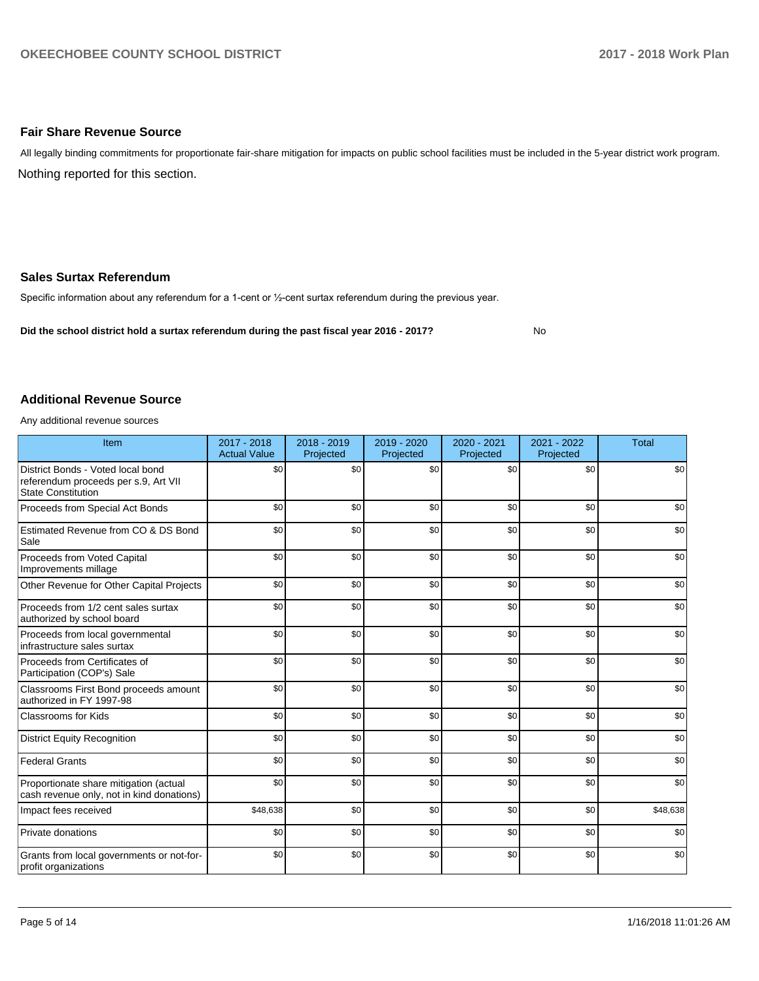#### **Fair Share Revenue Source**

Nothing reported for this section. All legally binding commitments for proportionate fair-share mitigation for impacts on public school facilities must be included in the 5-year district work program.

#### **Sales Surtax Referendum**

Specific information about any referendum for a 1-cent or 1/2-cent surtax referendum during the previous year.

**Did the school district hold a surtax referendum during the past fiscal year 2016 - 2017?**

No

#### **Additional Revenue Source**

Any additional revenue sources

| Item                                                                                                   | 2017 - 2018<br><b>Actual Value</b> | 2018 - 2019<br>Projected | 2019 - 2020<br>Projected | 2020 - 2021<br>Projected | 2021 - 2022<br>Projected | <b>Total</b> |
|--------------------------------------------------------------------------------------------------------|------------------------------------|--------------------------|--------------------------|--------------------------|--------------------------|--------------|
| District Bonds - Voted local bond<br>referendum proceeds per s.9, Art VII<br><b>State Constitution</b> | \$0                                | \$0                      | \$0                      | \$0                      | \$0                      | \$0          |
| Proceeds from Special Act Bonds                                                                        | \$0                                | \$0                      | \$0                      | \$0                      | \$0                      | \$0          |
| Estimated Revenue from CO & DS Bond<br>Sale                                                            | \$0                                | \$0                      | \$0                      | \$0                      | \$0                      | \$0          |
| Proceeds from Voted Capital<br>Improvements millage                                                    | \$0                                | \$0                      | \$0                      | \$0                      | \$0                      | \$0          |
| Other Revenue for Other Capital Projects                                                               | \$0                                | \$0                      | \$0                      | \$0                      | \$0                      | \$0          |
| Proceeds from 1/2 cent sales surtax<br>authorized by school board                                      | \$0                                | \$0                      | \$0                      | \$0                      | \$0                      | \$0          |
| Proceeds from local governmental<br>infrastructure sales surtax                                        | \$0                                | \$0                      | \$0                      | \$0                      | \$0                      | \$0          |
| Proceeds from Certificates of<br>Participation (COP's) Sale                                            | \$0                                | \$0                      | \$0                      | \$0                      | \$0                      | \$0          |
| Classrooms First Bond proceeds amount<br>authorized in FY 1997-98                                      | \$0                                | \$0                      | \$0                      | \$0                      | \$0                      | \$0          |
| <b>Classrooms for Kids</b>                                                                             | \$0                                | \$0                      | \$0                      | \$0                      | \$0                      | \$0          |
| <b>District Equity Recognition</b>                                                                     | \$0                                | \$0                      | \$0                      | \$0                      | \$0                      | \$0          |
| <b>Federal Grants</b>                                                                                  | \$0                                | \$0                      | \$0                      | \$0                      | \$0                      | \$0          |
| Proportionate share mitigation (actual<br>cash revenue only, not in kind donations)                    | \$0                                | \$0                      | \$0                      | \$0                      | \$0                      | \$0          |
| Impact fees received                                                                                   | \$48,638                           | \$0                      | \$0                      | \$0                      | \$0                      | \$48,638     |
| Private donations                                                                                      | \$0                                | \$0                      | \$0                      | \$0                      | \$0                      | \$0          |
| Grants from local governments or not-for-<br>profit organizations                                      | \$0                                | \$0                      | \$0                      | \$0                      | \$0                      | \$0          |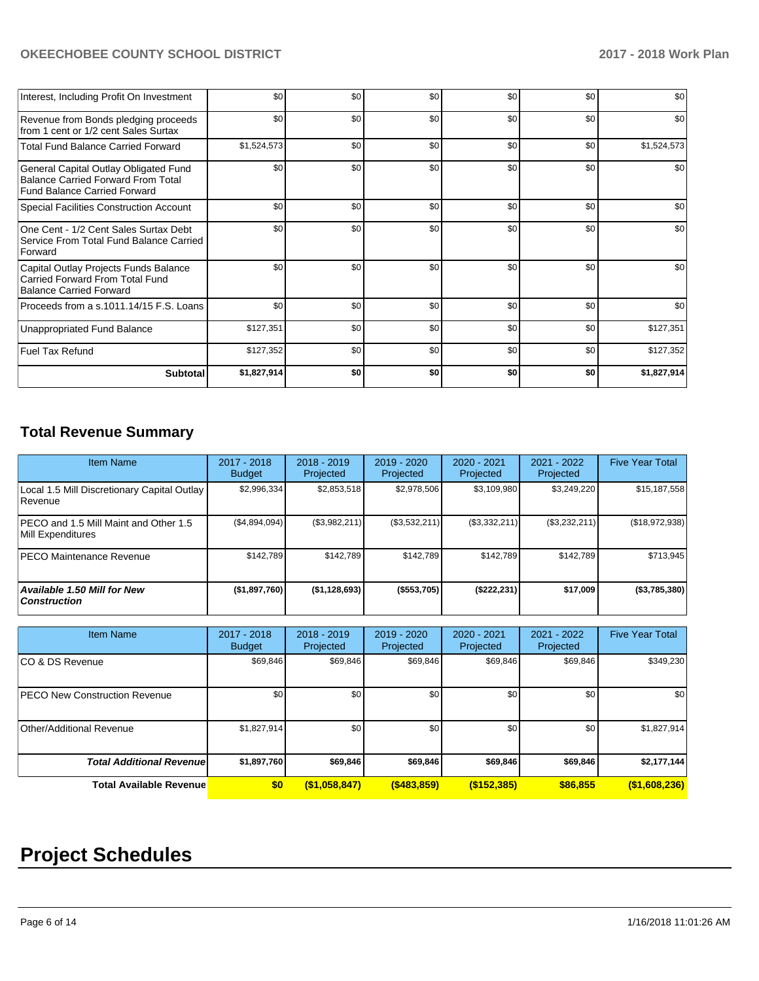# **OKEECHOBEE COUNTY SCHOOL DISTRICT** 2017 - 2018 Work Plan

| Interest, Including Profit On Investment                                                                                  | \$0         | \$0              | \$0 | \$0 | \$0 | \$0         |
|---------------------------------------------------------------------------------------------------------------------------|-------------|------------------|-----|-----|-----|-------------|
| Revenue from Bonds pledging proceeds<br>from 1 cent or 1/2 cent Sales Surtax                                              | \$0         | \$0              | \$0 | \$0 | \$0 | \$0         |
| <b>Total Fund Balance Carried Forward</b>                                                                                 | \$1,524,573 | \$0              | \$0 | \$0 | \$0 | \$1,524,573 |
| General Capital Outlay Obligated Fund<br><b>Balance Carried Forward From Total</b><br><b>Fund Balance Carried Forward</b> | \$0         | \$0              | \$0 | \$0 | \$0 | \$0         |
| Special Facilities Construction Account                                                                                   | \$0         | \$0              | \$0 | \$0 | \$0 | \$0         |
| One Cent - 1/2 Cent Sales Surtax Debt<br>Service From Total Fund Balance Carried<br>Forward                               | \$0         | \$0              | \$0 | \$0 | \$0 | \$0         |
| Capital Outlay Projects Funds Balance<br>Carried Forward From Total Fund<br><b>Balance Carried Forward</b>                | \$0         | \$0              | \$0 | \$0 | \$0 | \$0         |
| Proceeds from a s.1011.14/15 F.S. Loans                                                                                   | \$0         | \$0              | \$0 | \$0 | \$0 | \$0         |
| Unappropriated Fund Balance                                                                                               | \$127,351   | \$0              | \$0 | \$0 | \$0 | \$127,351   |
| <b>Fuel Tax Refund</b>                                                                                                    | \$127,352   | \$0 <sub>1</sub> | \$0 | \$0 | \$0 | \$127,352   |
| <b>Subtotal</b>                                                                                                           | \$1,827,914 | \$O              | \$0 | \$0 | \$0 | \$1,827,914 |

# **Total Revenue Summary**

| <b>Item Name</b>                                           | 2017 - 2018<br><b>Budget</b>   | $2018 - 2019$<br>Projected | 2019 - 2020<br>Projected | $2020 - 2021$<br>Projected | 2021 - 2022<br>Projected | <b>Five Year Total</b> |
|------------------------------------------------------------|--------------------------------|----------------------------|--------------------------|----------------------------|--------------------------|------------------------|
| Local 1.5 Mill Discretionary Capital Outlay<br>Revenue     | \$2,996,334                    | \$2,853,518                | \$2,978,506              | \$3,109,980                | \$3,249,220              | \$15,187,558           |
| PECO and 1.5 Mill Maint and Other 1.5<br>Mill Expenditures | (\$4,894,094)                  | (\$3,982,211)              | (\$3,532,211)            | (\$3,332,211)              | (\$3,232,211)            | (\$18,972,938)         |
| <b>PECO Maintenance Revenue</b>                            | \$142,789                      | \$142,789                  | \$142,789                | \$142,789                  | \$142,789                | \$713,945              |
| Available 1.50 Mill for New<br><b>Construction</b>         | (\$1,897,760)                  | (\$1,128,693)              | (\$553,705)              | (\$222, 231)               | \$17,009                 | (\$3,785,380)          |
|                                                            |                                |                            |                          |                            |                          |                        |
| <b>Item Name</b>                                           | $2017 - 2018$<br><b>Budget</b> | $2018 - 2019$<br>Projected | 2019 - 2020<br>Projected | $2020 - 2021$<br>Projected | 2021 - 2022<br>Projected | <b>Five Year Total</b> |
| CO & DS Revenue                                            | \$69,846                       | \$69,846                   | \$69,846                 | \$69,846                   | \$69,846                 | \$349,230              |
| <b>PECO New Construction Revenue</b>                       | \$0                            | \$0                        | \$0                      | \$0                        | \$0                      | \$0                    |
| <b>Other/Additional Revenue</b>                            | \$1,827,914                    | \$0                        | \$0                      | \$0                        | \$0                      | \$1,827,914            |
| <b>Total Additional Revenuel</b>                           | \$1,897,760                    | \$69,846                   | \$69,846                 | \$69,846                   | \$69,846                 | \$2,177,144            |

**Total Available Revenue \$0 (\$1,058,847) (\$483,859) (\$152,385) \$86,855 (\$1,608,236)**

# **Project Schedules**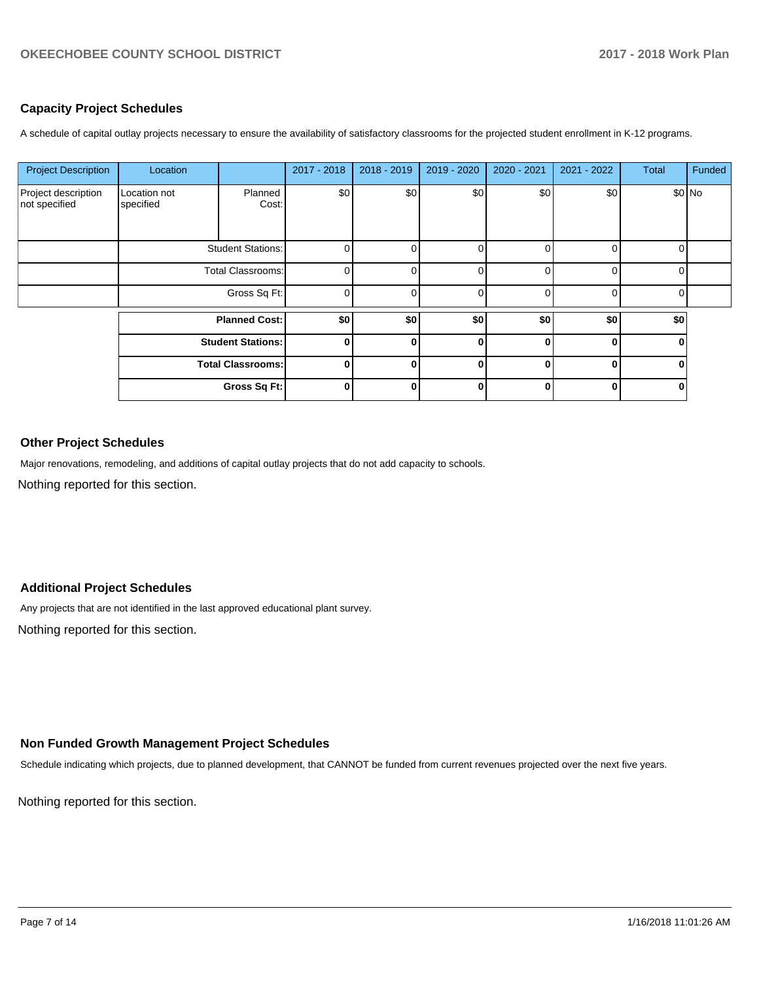#### **Capacity Project Schedules**

A schedule of capital outlay projects necessary to ensure the availability of satisfactory classrooms for the projected student enrollment in K-12 programs.

| <b>Project Description</b>           | Location                  |                          | 2017 - 2018    | 2018 - 2019 | 2019 - 2020 | 2020 - 2021 | 2021 - 2022    | Total    | Funded |
|--------------------------------------|---------------------------|--------------------------|----------------|-------------|-------------|-------------|----------------|----------|--------|
| Project description<br>not specified | Location not<br>specified | Planned<br>Cost:         | \$0            | \$0         | \$0         | \$0         | \$0            |          | \$0 No |
|                                      |                           | <b>Student Stations:</b> | 0              |             | $\Omega$    | 0           | 0              | 0        |        |
|                                      | <b>Total Classrooms:</b>  |                          | 0              |             | 0           | ∩           | 0              | 0        |        |
|                                      | Gross Sq Ft:              |                          | $\overline{0}$ | $\Omega$    | 0           | $\Omega$    | $\overline{0}$ | $\Omega$ |        |
|                                      | <b>Planned Cost:</b>      |                          | \$0            | \$0         | \$0         | \$0         | \$0            | \$0      |        |
|                                      |                           | <b>Student Stations:</b> | 0              | ŋ           | $\bf{0}$    | ŋ           | $\bf{0}$       | 0        |        |
|                                      |                           | <b>Total Classrooms:</b> | 0              | 0           | $\Omega$    | 0           | $\bf{0}$       | 0        |        |
|                                      |                           | Gross Sq Ft:             | $\bf{0}$       | Λ           | $\Omega$    | ŋ           | $\mathbf{0}$   | 0        |        |

### **Other Project Schedules**

Major renovations, remodeling, and additions of capital outlay projects that do not add capacity to schools.

Nothing reported for this section.

# **Additional Project Schedules**

Any projects that are not identified in the last approved educational plant survey.

Nothing reported for this section.

#### **Non Funded Growth Management Project Schedules**

Schedule indicating which projects, due to planned development, that CANNOT be funded from current revenues projected over the next five years.

Nothing reported for this section.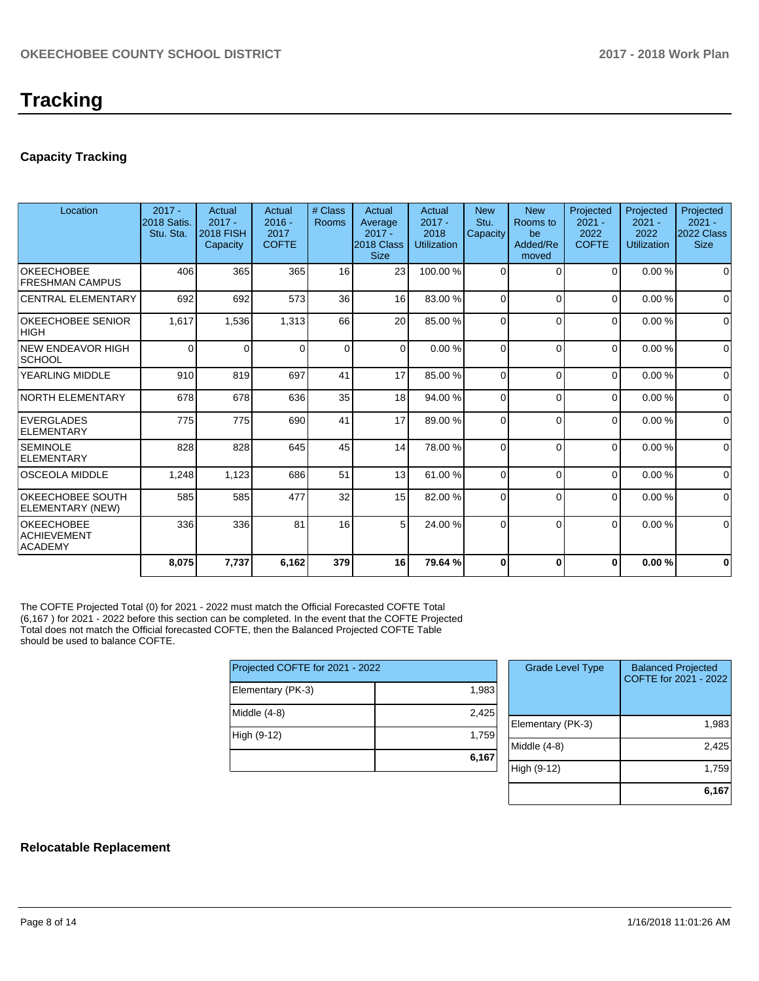# **Capacity Tracking**

| Location                                                  | $2017 -$<br>2018 Satis.<br>Stu. Sta. | Actual<br>$2017 -$<br><b>2018 FISH</b><br>Capacity | Actual<br>$2016 -$<br>2017<br><b>COFTE</b> | # Class<br>Rooms | Actual<br>Average<br>$2017 -$<br>2018 Class<br><b>Size</b> | Actual<br>$2017 -$<br>2018<br><b>Utilization</b> | <b>New</b><br>Stu.<br>Capacity | <b>New</b><br>Rooms to<br>be<br>Added/Re<br>moved | Projected<br>$2021 -$<br>2022<br><b>COFTE</b> | Projected<br>$2021 -$<br>2022<br><b>Utilization</b> | Projected<br>$2021 -$<br>2022 Class<br><b>Size</b> |
|-----------------------------------------------------------|--------------------------------------|----------------------------------------------------|--------------------------------------------|------------------|------------------------------------------------------------|--------------------------------------------------|--------------------------------|---------------------------------------------------|-----------------------------------------------|-----------------------------------------------------|----------------------------------------------------|
| <b>OKEECHOBEE</b><br><b>FRESHMAN CAMPUS</b>               | 406                                  | 365                                                | 365                                        | 16               | 23                                                         | 100.00%                                          | 0                              | <sup>-</sup>                                      | 0                                             | 0.00%                                               | $\Omega$                                           |
| <b>CENTRAL ELEMENTARY</b>                                 | 692                                  | 692                                                | 573                                        | 36               | 16                                                         | 83.00 %                                          | 0                              | $\Omega$                                          | $\Omega$                                      | 0.00%                                               | $\Omega$                                           |
| <b>OKEECHOBEE SENIOR</b><br><b>HIGH</b>                   | 1,617                                | 1,536                                              | 1,313                                      | 66               | 20                                                         | 85.00 %                                          | 0                              | $\Omega$                                          | $\Omega$                                      | 0.00%                                               | $\mathbf 0$                                        |
| <b>NEW ENDEAVOR HIGH</b><br><b>SCHOOL</b>                 | $\Omega$                             | $\Omega$                                           | 0                                          | $\Omega$         | $\Omega$                                                   | 0.00%                                            | $\Omega$                       | $\Omega$                                          | $\Omega$                                      | 0.00%                                               | $\Omega$                                           |
| YEARLING MIDDLE                                           | 910                                  | 819                                                | 697                                        | 41               | 17                                                         | 85.00 %                                          | $\Omega$                       | $\Omega$                                          | $\Omega$                                      | 0.00%                                               | $\Omega$                                           |
| <b>NORTH ELEMENTARY</b>                                   | 678                                  | 678                                                | 636                                        | 35               | 18                                                         | 94.00 %                                          | $\Omega$                       | $\Omega$                                          | $\Omega$                                      | 0.00%                                               | $\Omega$                                           |
| <b>EVERGLADES</b><br><b>ELEMENTARY</b>                    | 775                                  | 775                                                | 690                                        | 41               | 17                                                         | 89.00 %                                          | 0                              | $\Omega$                                          | $\Omega$                                      | 0.00%                                               | $\mathbf 0$                                        |
| <b>SEMINOLE</b><br><b>ELEMENTARY</b>                      | 828                                  | 828                                                | 645                                        | 45               | 14                                                         | 78.00 %                                          | 0                              | $\Omega$                                          | $\Omega$                                      | 0.00%                                               | $\mathbf 0$                                        |
| <b>OSCEOLA MIDDLE</b>                                     | 1,248                                | 1,123                                              | 686                                        | 51               | 13                                                         | 61.00%                                           | 0                              | $\Omega$                                          | $\Omega$                                      | 0.00%                                               | $\Omega$                                           |
| OKEECHOBEE SOUTH<br>ELEMENTARY (NEW)                      | 585                                  | 585                                                | 477                                        | 32               | 15                                                         | 82.00 %                                          | 0                              | $\Omega$                                          | $\Omega$                                      | 0.00%                                               | 0                                                  |
| <b>OKEECHOBEE</b><br><b>ACHIEVEMENT</b><br><b>ACADEMY</b> | 336                                  | 336                                                | 81                                         | 16               | 5                                                          | 24.00 %                                          | 0                              | $\Omega$                                          | $\Omega$                                      | 0.00%                                               | $\Omega$                                           |
|                                                           | 8,075                                | 7,737                                              | 6,162                                      | 379              | 16                                                         | 79.64%                                           | 0                              | $\Omega$                                          | $\bf{0}$                                      | 0.00%                                               | $\bf{0}$                                           |

The COFTE Projected Total (0) for 2021 - 2022 must match the Official Forecasted COFTE Total (6,167 ) for 2021 - 2022 before this section can be completed. In the event that the COFTE Projected Total does not match the Official forecasted COFTE, then the Balanced Projected COFTE Table should be used to balance COFTE.

| Projected COFTE for 2021 - 2022 |       |  |  |  |  |
|---------------------------------|-------|--|--|--|--|
| Elementary (PK-3)               | 1,983 |  |  |  |  |
| Middle (4-8)                    | 2,425 |  |  |  |  |
| High (9-12)                     | 1,759 |  |  |  |  |
|                                 | 6,167 |  |  |  |  |

| <b>Grade Level Type</b> | <b>Balanced Projected</b><br>COFTE for 2021 - 2022 |
|-------------------------|----------------------------------------------------|
| Elementary (PK-3)       | 1,983                                              |
| Middle $(4-8)$          | 2.425                                              |
| High (9-12)             | 1,759                                              |
|                         | 6.167                                              |

#### **Relocatable Replacement**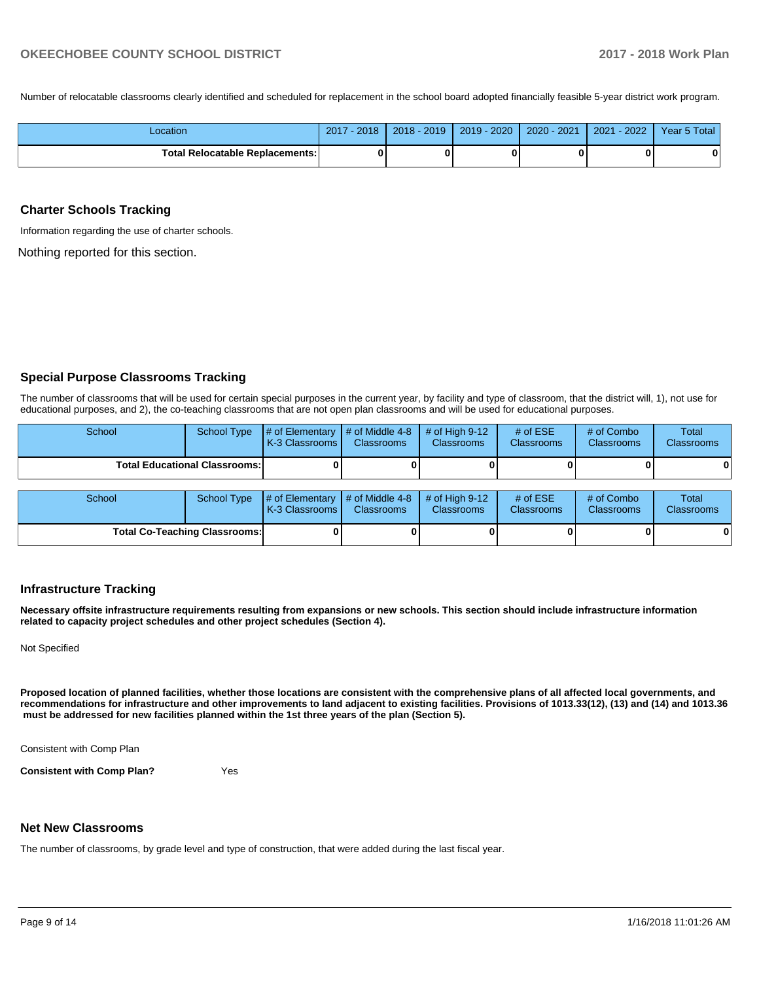Number of relocatable classrooms clearly identified and scheduled for replacement in the school board adopted financially feasible 5-year district work program.

| Location                          | 2017<br>$-2018$ | $2018 - 2019$ | $2019 - 2020$ | 2020 - 2021 | $2021 - 2022$ | Year 5 Total |
|-----------------------------------|-----------------|---------------|---------------|-------------|---------------|--------------|
| Total Relocatable Replacements: I |                 |               |               | 0           |               | 0            |

#### **Charter Schools Tracking**

Information regarding the use of charter schools.

Nothing reported for this section.

#### **Special Purpose Classrooms Tracking**

The number of classrooms that will be used for certain special purposes in the current year, by facility and type of classroom, that the district will, 1), not use for educational purposes, and 2), the co-teaching classrooms that are not open plan classrooms and will be used for educational purposes.

| School                               |  | School Type $\frac{1}{4}$ of Elementary $\frac{1}{4}$ of Middle 4-8 $\frac{1}{4}$ of High 9-12<br><b>K-3 Classrooms L</b> | <b>Classrooms</b> | <b>Classrooms</b> | # of $ESE$<br><b>Classrooms</b> | # of Combo<br><b>Classrooms</b> | <b>Total</b><br><b>Classrooms</b> |
|--------------------------------------|--|---------------------------------------------------------------------------------------------------------------------------|-------------------|-------------------|---------------------------------|---------------------------------|-----------------------------------|
| <b>Total Educational Classrooms:</b> |  |                                                                                                                           |                   |                   | 01                              | 0                               | 0                                 |

| School | School Type                          | # of Elementary  # of Middle 4-8  # of High 9-12<br><b>K-3 Classrooms I</b> | <b>Classrooms</b> | <b>Classrooms</b> | # of $ESE$<br><b>Classrooms</b> | # of Combo<br><b>Classrooms</b> | Total<br><b>Classrooms</b> |
|--------|--------------------------------------|-----------------------------------------------------------------------------|-------------------|-------------------|---------------------------------|---------------------------------|----------------------------|
|        | <b>Total Co-Teaching Classrooms:</b> |                                                                             |                   |                   |                                 | 0                               | 0                          |

#### **Infrastructure Tracking**

**Necessary offsite infrastructure requirements resulting from expansions or new schools. This section should include infrastructure information related to capacity project schedules and other project schedules (Section 4).** 

Not Specified

**Proposed location of planned facilities, whether those locations are consistent with the comprehensive plans of all affected local governments, and recommendations for infrastructure and other improvements to land adjacent to existing facilities. Provisions of 1013.33(12), (13) and (14) and 1013.36 must be addressed for new facilities planned within the 1st three years of the plan (Section 5).** 

Consistent with Comp Plan

**Consistent with Comp Plan?** Yes

**Net New Classrooms**

The number of classrooms, by grade level and type of construction, that were added during the last fiscal year.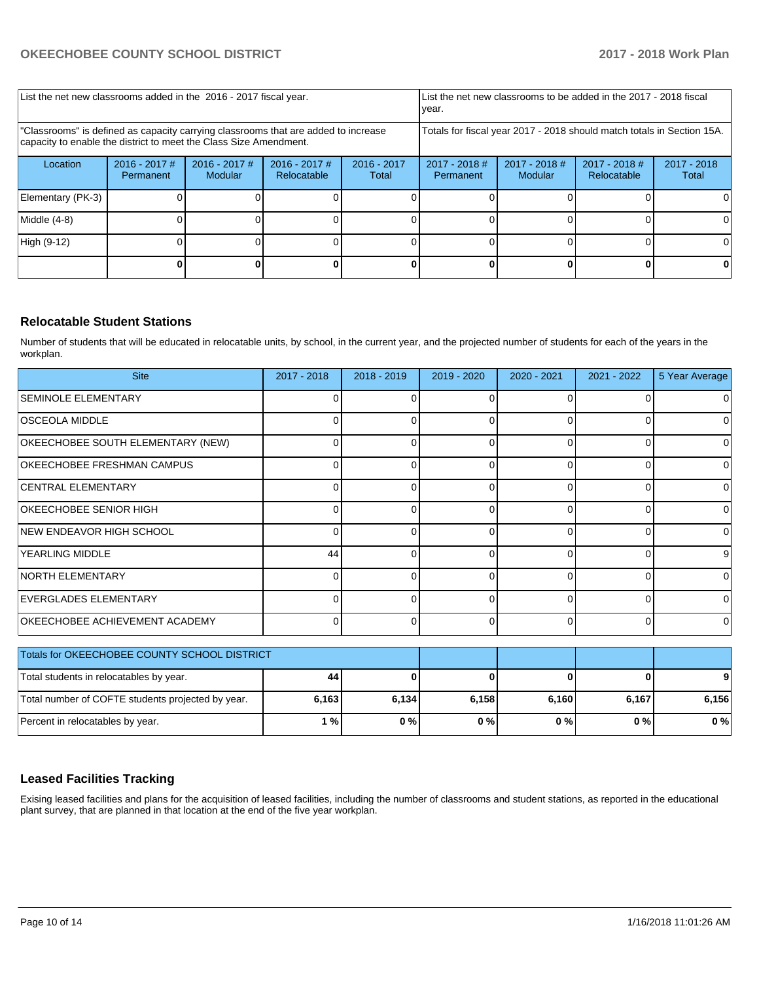| List the net new classrooms added in the 2016 - 2017 fiscal year.                                                                                       |                              |                            |                                |                        | year.                                                                  |                            | List the net new classrooms to be added in the 2017 - 2018 fiscal |                        |
|---------------------------------------------------------------------------------------------------------------------------------------------------------|------------------------------|----------------------------|--------------------------------|------------------------|------------------------------------------------------------------------|----------------------------|-------------------------------------------------------------------|------------------------|
| "Classrooms" is defined as capacity carrying classrooms that are added to increase<br>capacity to enable the district to meet the Class Size Amendment. |                              |                            |                                |                        | Totals for fiscal year 2017 - 2018 should match totals in Section 15A. |                            |                                                                   |                        |
| Location                                                                                                                                                | $2016 - 2017$ #<br>Permanent | $2016 - 2017$ #<br>Modular | $2016 - 2017$ #<br>Relocatable | $2016 - 2017$<br>Total | $2017 - 2018$ #<br><b>Permanent</b>                                    | $2017 - 2018$ #<br>Modular | $2017 - 2018$ #<br>Relocatable                                    | $2017 - 2018$<br>Total |
| Elementary (PK-3)                                                                                                                                       |                              |                            |                                |                        |                                                                        |                            |                                                                   | $^{(1)}$               |
| Middle (4-8)                                                                                                                                            |                              |                            |                                |                        |                                                                        |                            |                                                                   | 0                      |
| High (9-12)                                                                                                                                             |                              |                            |                                |                        |                                                                        |                            |                                                                   | 0                      |
|                                                                                                                                                         |                              |                            |                                |                        |                                                                        |                            |                                                                   |                        |

#### **Relocatable Student Stations**

Number of students that will be educated in relocatable units, by school, in the current year, and the projected number of students for each of the years in the workplan.

| <b>Site</b>                           | 2017 - 2018 | $2018 - 2019$ | 2019 - 2020 | $2020 - 2021$ | $2021 - 2022$ | 5 Year Average |
|---------------------------------------|-------------|---------------|-------------|---------------|---------------|----------------|
| <b>SEMINOLE ELEMENTARY</b>            |             |               | O           |               |               |                |
| <b>OSCEOLA MIDDLE</b>                 |             | ∩             | 0           | <sup>n</sup>  | O             | 0              |
| OKEECHOBEE SOUTH ELEMENTARY (NEW)     |             | ∩             | U           | <sup>n</sup>  | O             | ∩              |
| OKEECHOBEE FRESHMAN CAMPUS            |             |               |             |               | $\Omega$      |                |
| <b>CENTRAL ELEMENTARY</b>             |             |               |             |               |               |                |
| OKEECHOBEE SENIOR HIGH                |             |               |             |               | 0             |                |
| NEW ENDEAVOR HIGH SCHOOL              |             |               | 0           |               | 0             | O              |
| <b>YEARLING MIDDLE</b>                | 44          | O             | 0           |               | 0             | 9              |
| <b>NORTH ELEMENTARY</b>               |             | U             | O           | 0             | $\Omega$      | 0              |
| EVERGLADES ELEMENTARY                 |             |               | O           |               | $\Omega$      | ∩              |
| <b>OKEECHOBEE ACHIEVEMENT ACADEMY</b> |             | U             | O           |               | 0             | 0              |

| Totals for OKEECHOBEE COUNTY SCHOOL DISTRICT      |       |       |       |       |       |       |
|---------------------------------------------------|-------|-------|-------|-------|-------|-------|
| Total students in relocatables by year.           | 44    |       |       |       |       | 9     |
| Total number of COFTE students projected by year. | 6,163 | 6.134 | 6.158 | 6,160 | 6.167 | 6.156 |
| Percent in relocatables by year.                  | 1 % I | $0\%$ | $0\%$ | 0%    | 0 % I | $0\%$ |

#### **Leased Facilities Tracking**

Exising leased facilities and plans for the acquisition of leased facilities, including the number of classrooms and student stations, as reported in the educational plant survey, that are planned in that location at the end of the five year workplan.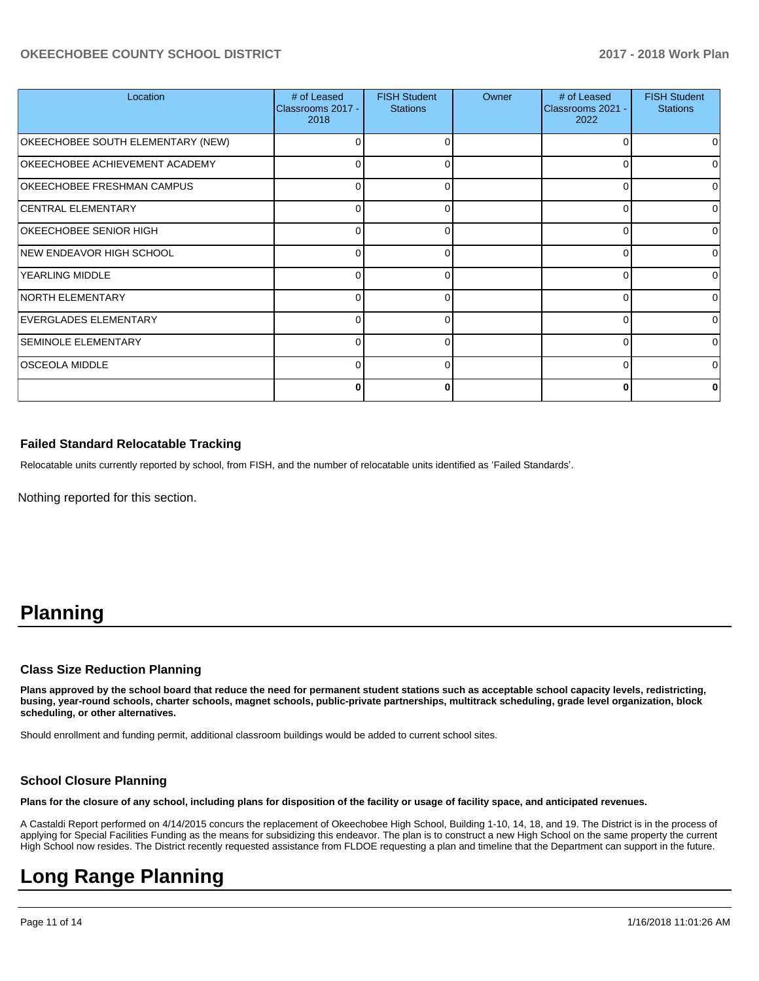### **OKEECHOBEE COUNTY SCHOOL DISTRICT 2017 - 2018 Work Plan**

| Location                          | # of Leased<br>Classrooms 2017 -<br>2018 | <b>FISH Student</b><br><b>Stations</b> | Owner | # of Leased<br>Classrooms 2021 -<br>2022 | <b>FISH Student</b><br><b>Stations</b> |
|-----------------------------------|------------------------------------------|----------------------------------------|-------|------------------------------------------|----------------------------------------|
| OKEECHOBEE SOUTH ELEMENTARY (NEW) |                                          | $\Omega$                               |       | 0                                        |                                        |
| OKEECHOBEE ACHIEVEMENT ACADEMY    | 0                                        | 0                                      |       | 0                                        |                                        |
| OKEECHOBEE FRESHMAN CAMPUS        | 0                                        | 0                                      |       | $\Omega$                                 |                                        |
| CENTRAL ELEMENTARY                | ∩                                        | $\Omega$                               |       | 0                                        | U                                      |
| OKEECHOBEE SENIOR HIGH            | 0                                        | 0                                      |       | 0                                        |                                        |
| NEW ENDEAVOR HIGH SCHOOL          | 0                                        | $\Omega$                               |       | $\Omega$                                 |                                        |
| <b>YEARLING MIDDLE</b>            |                                          | O                                      |       | $\Omega$                                 | n                                      |
| <b>NORTH ELEMENTARY</b>           | 0                                        | 0                                      |       | 0                                        |                                        |
| EVERGLADES ELEMENTARY             | 0                                        | $\Omega$                               |       | $\Omega$                                 |                                        |
| <b>SEMINOLE ELEMENTARY</b>        |                                          | $\Omega$                               |       | 0                                        | ∩                                      |
| <b>OSCEOLA MIDDLE</b>             | 0                                        | 0                                      |       | $\Omega$                                 |                                        |
|                                   | 0                                        | 0                                      |       | $\bf{0}$                                 |                                        |

#### **Failed Standard Relocatable Tracking**

Relocatable units currently reported by school, from FISH, and the number of relocatable units identified as 'Failed Standards'.

Nothing reported for this section.

# **Planning**

#### **Class Size Reduction Planning**

**Plans approved by the school board that reduce the need for permanent student stations such as acceptable school capacity levels, redistricting, busing, year-round schools, charter schools, magnet schools, public-private partnerships, multitrack scheduling, grade level organization, block scheduling, or other alternatives.**

Should enrollment and funding permit, additional classroom buildings would be added to current school sites.

#### **School Closure Planning**

**Plans for the closure of any school, including plans for disposition of the facility or usage of facility space, and anticipated revenues.** 

A Castaldi Report performed on 4/14/2015 concurs the replacement of Okeechobee High School, Building 1-10, 14, 18, and 19. The District is in the process of applying for Special Facilities Funding as the means for subsidizing this endeavor. The plan is to construct a new High School on the same property the current High School now resides. The District recently requested assistance from FLDOE requesting a plan and timeline that the Department can support in the future.

# **Long Range Planning**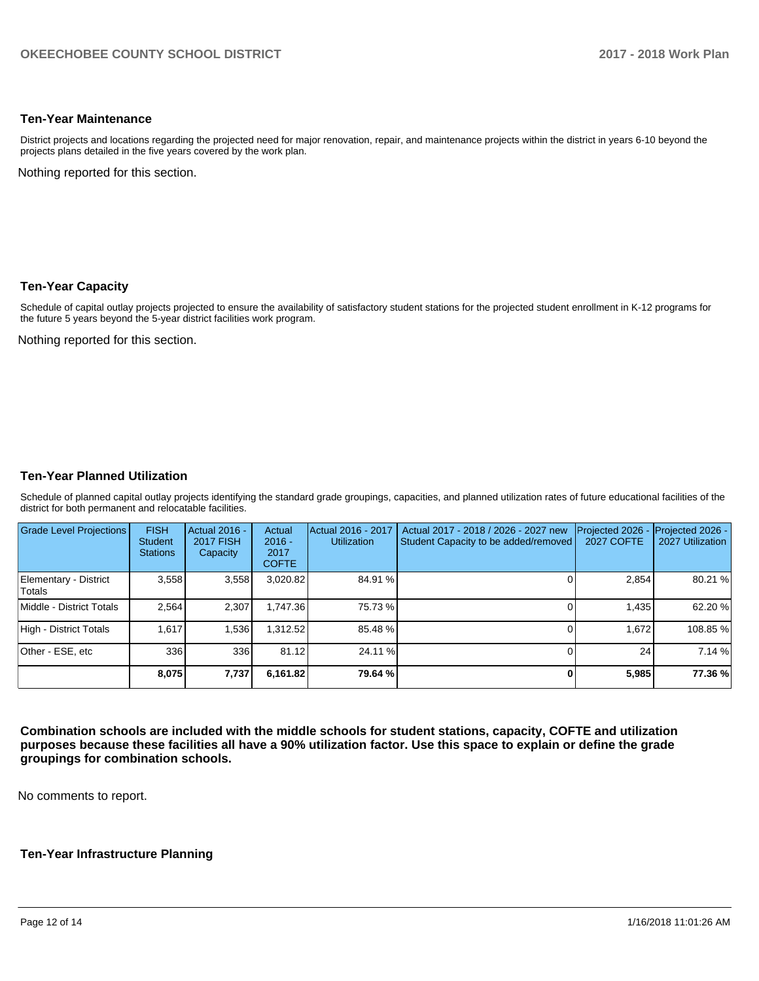### **Ten-Year Maintenance**

District projects and locations regarding the projected need for major renovation, repair, and maintenance projects within the district in years 6-10 beyond the projects plans detailed in the five years covered by the work plan.

Nothing reported for this section.

#### **Ten-Year Capacity**

Schedule of capital outlay projects projected to ensure the availability of satisfactory student stations for the projected student enrollment in K-12 programs for the future 5 years beyond the 5-year district facilities work program.

Nothing reported for this section.

#### **Ten-Year Planned Utilization**

Schedule of planned capital outlay projects identifying the standard grade groupings, capacities, and planned utilization rates of future educational facilities of the district for both permanent and relocatable facilities.

| Grade Level Projections         | <b>FISH</b><br><b>Student</b><br><b>Stations</b> | <b>Actual 2016 -</b><br><b>2017 FISH</b><br>Capacity | Actual<br>$2016 -$<br>2017<br><b>COFTE</b> | Actual 2016 - 2017<br><b>Utilization</b> | Actual 2017 - 2018 / 2026 - 2027 new<br>Student Capacity to be added/removed | Projected 2026<br><b>2027 COFTE</b> | Projected 2026 -<br>2027 Utilization |
|---------------------------------|--------------------------------------------------|------------------------------------------------------|--------------------------------------------|------------------------------------------|------------------------------------------------------------------------------|-------------------------------------|--------------------------------------|
| Elementary - District<br>Totals | 3,558                                            | 3,558                                                | 3,020.82                                   | 84.91 %                                  |                                                                              | 2,854                               | 80.21 %                              |
| Middle - District Totals        | 2.564                                            | 2,307                                                | 1.747.36                                   | 75.73 %                                  |                                                                              | 1,435                               | 62.20 %                              |
| High - District Totals          | 1.617                                            | 1.536                                                | 1.312.52                                   | 85.48 %                                  |                                                                              | 1.672                               | 108.85 %                             |
| Other - ESE, etc                | 336                                              | 336                                                  | 81.12                                      | 24.11 %                                  |                                                                              | 24                                  | 7.14%                                |
|                                 | 8,075                                            | 7,737                                                | 6,161.82                                   | 79.64 %                                  |                                                                              | 5,985                               | 77.36 %                              |

**Combination schools are included with the middle schools for student stations, capacity, COFTE and utilization purposes because these facilities all have a 90% utilization factor. Use this space to explain or define the grade groupings for combination schools.** 

No comments to report.

#### **Ten-Year Infrastructure Planning**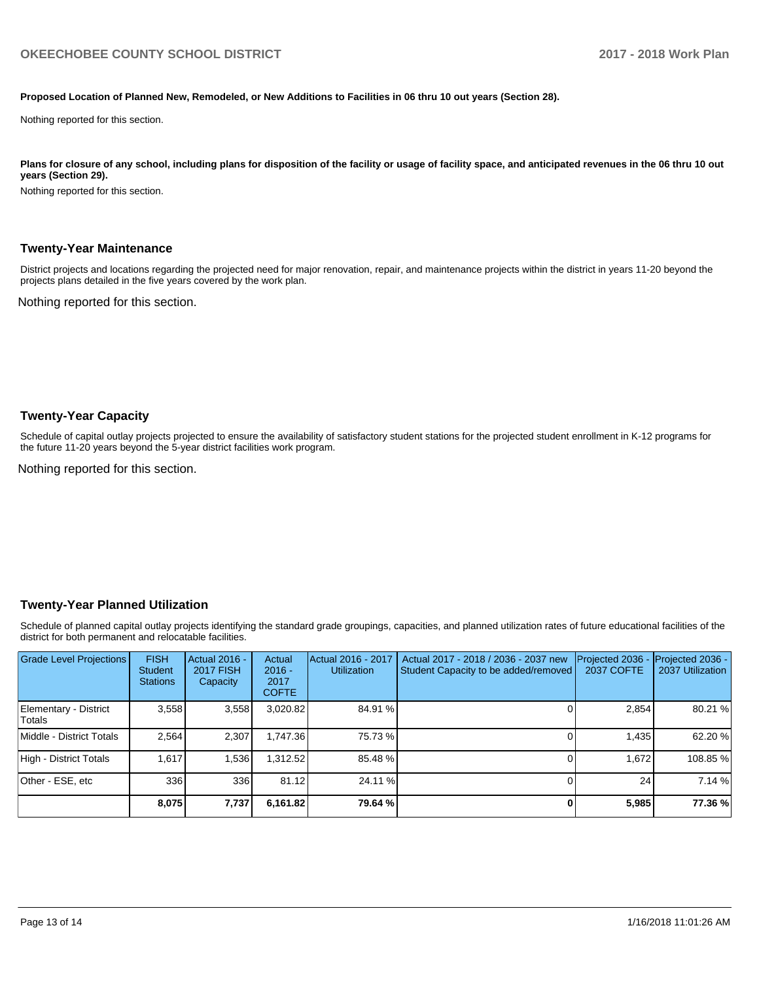#### **Proposed Location of Planned New, Remodeled, or New Additions to Facilities in 06 thru 10 out years (Section 28).**

Nothing reported for this section.

Plans for closure of any school, including plans for disposition of the facility or usage of facility space, and anticipated revenues in the 06 thru 10 out **years (Section 29).**

Nothing reported for this section.

#### **Twenty-Year Maintenance**

District projects and locations regarding the projected need for major renovation, repair, and maintenance projects within the district in years 11-20 beyond the projects plans detailed in the five years covered by the work plan.

Nothing reported for this section.

#### **Twenty-Year Capacity**

Schedule of capital outlay projects projected to ensure the availability of satisfactory student stations for the projected student enrollment in K-12 programs for the future 11-20 years beyond the 5-year district facilities work program.

Nothing reported for this section.

#### **Twenty-Year Planned Utilization**

Schedule of planned capital outlay projects identifying the standard grade groupings, capacities, and planned utilization rates of future educational facilities of the district for both permanent and relocatable facilities.

| <b>Grade Level Projections</b>   | <b>FISH</b><br><b>Student</b><br><b>Stations</b> | <b>Actual 2016 -</b><br><b>2017 FISH</b><br>Capacity | Actual<br>$2016 -$<br>2017<br><b>COFTE</b> | Actual 2016 - 2017<br><b>Utilization</b> | Actual 2017 - 2018 / 2036 - 2037 new<br>Student Capacity to be added/removed | Projected 2036<br><b>2037 COFTE</b> | <b>Projected 2036 -</b><br>2037 Utilization |
|----------------------------------|--------------------------------------------------|------------------------------------------------------|--------------------------------------------|------------------------------------------|------------------------------------------------------------------------------|-------------------------------------|---------------------------------------------|
| Elementary - District<br> Totals | 3.558                                            | 3,558                                                | 3,020.82                                   | 84.91 %                                  |                                                                              | 2,854                               | 80.21 %                                     |
| Middle - District Totals         | 2.564                                            | 2.307                                                | 1.747.36                                   | 75.73 %                                  |                                                                              | 1.435                               | 62.20%                                      |
| High - District Totals           | 1.617                                            | 1.536                                                | 1.312.52                                   | 85.48 %                                  |                                                                              | 1.672                               | 108.85%                                     |
| Other - ESE, etc                 | 336                                              | 336                                                  | 81.12                                      | 24.11 %                                  |                                                                              | 24                                  | 7.14 %                                      |
|                                  | 8,075                                            | 7,737                                                | 6,161.82                                   | 79.64 %                                  |                                                                              | 5,985                               | 77.36 %                                     |